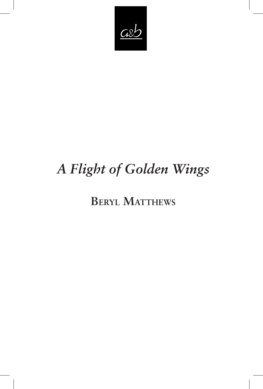

## *A Flight of Golden Wings*

## **Beryl Matthews**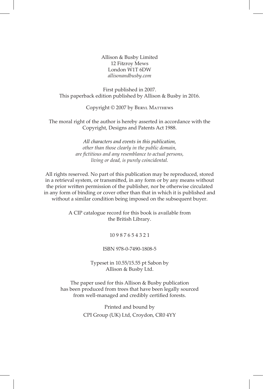Allison & Busby Limited 12 Fitzroy Mews London W1T 6DW *allisonandbusby.com*

First published in 2007. This paperback edition published by Allison & Busby in 2016.

Copyright © 2007 by Beryl Matthews

The moral right of the author is hereby asserted in accordance with the Copyright, Designs and Patents Act 1988.

> *All characters and events in this publication, other than those clearly in the public domain, are fictitious and any resemblance to actual persons, living or dead, is purely coincidental.*

All rights reserved. No part of this publication may be reproduced, stored in a retrieval system, or transmitted, in any form or by any means without the prior written permission of the publisher, nor be otherwise circulated in any form of binding or cover other than that in which it is published and without a similar condition being imposed on the subsequent buyer.

> A CIP catalogue record for this book is available from the British Library.

> > 10 9 8 7 6 5 4 3 2 1

## ISBN 978-0-7490-1808-5

Typeset in 10.55/15.55 pt Sabon by Allison & Busby Ltd.

The paper used for this Allison & Busby publication has been produced from trees that have been legally sourced from well-managed and credibly certified forests.

> Printed and bound by CPI Group (UK) Ltd, Croydon, CR0 4YY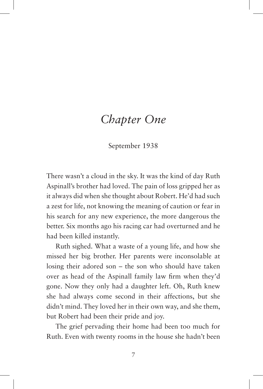## *Chapter One*

September 1938

There wasn't a cloud in the sky. It was the kind of day Ruth Aspinall's brother had loved. The pain of loss gripped her as it always did when she thought about Robert. He'd had such a zest for life, not knowing the meaning of caution or fear in his search for any new experience, the more dangerous the better. Six months ago his racing car had overturned and he had been killed instantly.

Ruth sighed. What a waste of a young life, and how she missed her big brother. Her parents were inconsolable at losing their adored son – the son who should have taken over as head of the Aspinall family law firm when they'd gone. Now they only had a daughter left. Oh, Ruth knew she had always come second in their affections, but she didn't mind. They loved her in their own way, and she them, but Robert had been their pride and joy.

The grief pervading their home had been too much for Ruth. Even with twenty rooms in the house she hadn't been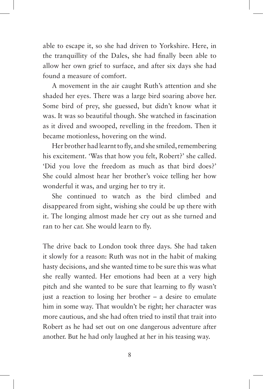able to escape it, so she had driven to Yorkshire. Here, in the tranquillity of the Dales, she had finally been able to allow her own grief to surface, and after six days she had found a measure of comfort.

A movement in the air caught Ruth's attention and she shaded her eyes. There was a large bird soaring above her. Some bird of prey, she guessed, but didn't know what it was. It was so beautiful though. She watched in fascination as it dived and swooped, revelling in the freedom. Then it became motionless, hovering on the wind.

Her brother had learnt to fly, and she smiled, remembering his excitement. 'Was that how you felt, Robert?' she called. 'Did you love the freedom as much as that bird does?' She could almost hear her brother's voice telling her how wonderful it was, and urging her to try it.

She continued to watch as the bird climbed and disappeared from sight, wishing she could be up there with it. The longing almost made her cry out as she turned and ran to her car. She would learn to fly.

The drive back to London took three days. She had taken it slowly for a reason: Ruth was not in the habit of making hasty decisions, and she wanted time to be sure this was what she really wanted. Her emotions had been at a very high pitch and she wanted to be sure that learning to fly wasn't just a reaction to losing her brother – a desire to emulate him in some way. That wouldn't be right; her character was more cautious, and she had often tried to instil that trait into Robert as he had set out on one dangerous adventure after another. But he had only laughed at her in his teasing way.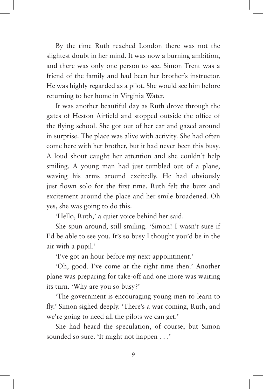By the time Ruth reached London there was not the slightest doubt in her mind. It was now a burning ambition, and there was only one person to see. Simon Trent was a friend of the family and had been her brother's instructor. He was highly regarded as a pilot. She would see him before returning to her home in Virginia Water.

It was another beautiful day as Ruth drove through the gates of Heston Airfield and stopped outside the office of the flying school. She got out of her car and gazed around in surprise. The place was alive with activity. She had often come here with her brother, but it had never been this busy. A loud shout caught her attention and she couldn't help smiling. A young man had just tumbled out of a plane, waving his arms around excitedly. He had obviously just flown solo for the first time. Ruth felt the buzz and excitement around the place and her smile broadened. Oh yes, she was going to do this.

'Hello, Ruth,' a quiet voice behind her said.

She spun around, still smiling. 'Simon! I wasn't sure if I'd be able to see you. It's so busy I thought you'd be in the air with a pupil.'

'I've got an hour before my next appointment.'

'Oh, good. I've come at the right time then.' Another plane was preparing for take-off and one more was waiting its turn. 'Why are you so busy?'

'The government is encouraging young men to learn to fly.' Simon sighed deeply. 'There's a war coming, Ruth, and we're going to need all the pilots we can get.'

She had heard the speculation, of course, but Simon sounded so sure. 'It might not happen *. . .*'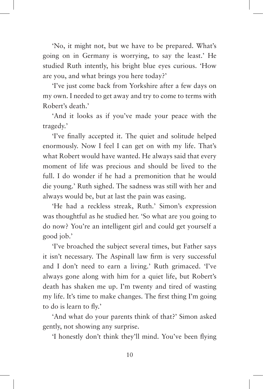'No, it might not, but we have to be prepared. What's going on in Germany is worrying, to say the least.' He studied Ruth intently, his bright blue eyes curious. 'How are you, and what brings you here today?'

'I've just come back from Yorkshire after a few days on my own. I needed to get away and try to come to terms with Robert's death.'

'And it looks as if you've made your peace with the tragedy.'

'I've finally accepted it. The quiet and solitude helped enormously. Now I feel I can get on with my life. That's what Robert would have wanted. He always said that every moment of life was precious and should be lived to the full. I do wonder if he had a premonition that he would die young.' Ruth sighed. The sadness was still with her and always would be, but at last the pain was easing.

'He had a reckless streak, Ruth.' Simon's expression was thoughtful as he studied her. 'So what are you going to do now? You're an intelligent girl and could get yourself a good job.'

'I've broached the subject several times, but Father says it isn't necessary. The Aspinall law firm is very successful and I don't need to earn a living.' Ruth grimaced. 'I've always gone along with him for a quiet life, but Robert's death has shaken me up. I'm twenty and tired of wasting my life. It's time to make changes. The first thing I'm going to do is learn to fly.'

'And what do your parents think of that?' Simon asked gently, not showing any surprise.

'I honestly don't think they'll mind. You've been flying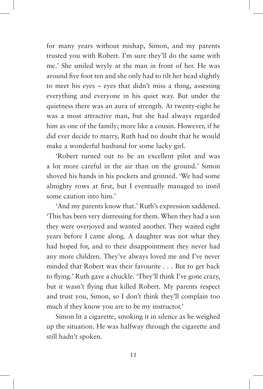for many years without mishap, Simon, and my parents trusted you with Robert. I'm sure they'll do the same with me.' She smiled wryly at the man in front of her. He was around five foot ten and she only had to tilt her head slightly to meet his eyes – eyes that didn't miss a thing, assessing everything and everyone in his quiet way. But under the quietness there was an aura of strength. At twenty-eight he was a most attractive man, but she had always regarded him as one of the family; more like a cousin. However, if he did ever decide to marry, Ruth had no doubt that he would make a wonderful husband for some lucky girl.

'Robert turned out to be an excellent pilot and was a lot more careful in the air than on the ground.' Simon shoved his hands in his pockets and grinned. 'We had some almighty rows at first, but I eventually managed to instil some caution into him.'

'And my parents know that.' Ruth's expression saddened. 'This has been very distressing for them. When they had a son they were overjoyed and wanted another. They waited eight years before I came along. A daughter was not what they had hoped for, and to their disappointment they never had any more children. They've always loved me and I've never minded that Robert was their favourite *. . .* But to get back to flying.' Ruth gave a chuckle. 'They'll think I've gone crazy, but it wasn't flying that killed Robert. My parents respect and trust you, Simon, so I don't think they'll complain too much if they know you are to be my instructor.'

Simon lit a cigarette, smoking it in silence as he weighed up the situation. He was halfway through the cigarette and still hadn't spoken.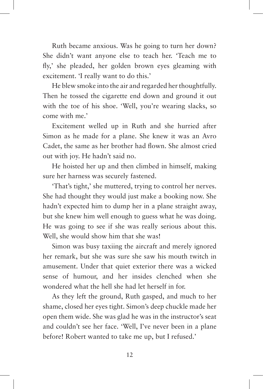Ruth became anxious. Was he going to turn her down? She didn't want anyone else to teach her. 'Teach me to fly,' she pleaded, her golden brown eyes gleaming with excitement. 'I really want to do this.'

He blew smoke into the air and regarded her thoughtfully. Then he tossed the cigarette end down and ground it out with the toe of his shoe. 'Well, you're wearing slacks, so come with me.'

Excitement welled up in Ruth and she hurried after Simon as he made for a plane. She knew it was an Avro Cadet, the same as her brother had flown. She almost cried out with joy. He hadn't said no.

He hoisted her up and then climbed in himself, making sure her harness was securely fastened.

'That's tight,' she muttered, trying to control her nerves. She had thought they would just make a booking now. She hadn't expected him to dump her in a plane straight away, but she knew him well enough to guess what he was doing. He was going to see if she was really serious about this. Well, she would show him that she was!

Simon was busy taxiing the aircraft and merely ignored her remark, but she was sure she saw his mouth twitch in amusement. Under that quiet exterior there was a wicked sense of humour, and her insides clenched when she wondered what the hell she had let herself in for.

As they left the ground, Ruth gasped, and much to her shame, closed her eyes tight. Simon's deep chuckle made her open them wide. She was glad he was in the instructor's seat and couldn't see her face. 'Well, I've never been in a plane before! Robert wanted to take me up, but I refused.'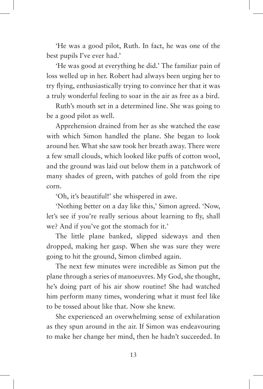'He was a good pilot, Ruth. In fact, he was one of the best pupils I've ever had.'

'He was good at everything he did.' The familiar pain of loss welled up in her. Robert had always been urging her to try flying, enthusiastically trying to convince her that it was a truly wonderful feeling to soar in the air as free as a bird.

Ruth's mouth set in a determined line. She was going to be a good pilot as well.

Apprehension drained from her as she watched the ease with which Simon handled the plane. She began to look around her. What she saw took her breath away. There were a few small clouds, which looked like puffs of cotton wool, and the ground was laid out below them in a patchwork of many shades of green, with patches of gold from the ripe corn.

'Oh, it's beautiful!' she whispered in awe.

'Nothing better on a day like this,' Simon agreed. 'Now, let's see if you're really serious about learning to fly, shall we? And if you've got the stomach for it.'

The little plane banked, slipped sideways and then dropped, making her gasp. When she was sure they were going to hit the ground, Simon climbed again.

The next few minutes were incredible as Simon put the plane through a series of manoeuvres. My God, she thought, he's doing part of his air show routine! She had watched him perform many times, wondering what it must feel like to be tossed about like that. Now she knew.

She experienced an overwhelming sense of exhilaration as they spun around in the air. If Simon was endeavouring to make her change her mind, then he hadn't succeeded. In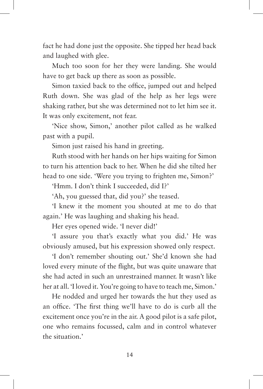fact he had done just the opposite. She tipped her head back and laughed with glee.

Much too soon for her they were landing. She would have to get back up there as soon as possible.

Simon taxied back to the office, jumped out and helped Ruth down. She was glad of the help as her legs were shaking rather, but she was determined not to let him see it. It was only excitement, not fear.

'Nice show, Simon,' another pilot called as he walked past with a pupil.

Simon just raised his hand in greeting.

Ruth stood with her hands on her hips waiting for Simon to turn his attention back to her. When he did she tilted her head to one side. 'Were you trying to frighten me, Simon?'

'Hmm. I don't think I succeeded, did I?'

'Ah, you guessed that, did you?' she teased.

'I knew it the moment you shouted at me to do that again.' He was laughing and shaking his head.

Her eyes opened wide. 'I never did!'

'I assure you that's exactly what you did.' He was obviously amused, but his expression showed only respect.

'I don't remember shouting out.' She'd known she had loved every minute of the flight, but was quite unaware that she had acted in such an unrestrained manner. It wasn't like her at all. 'I loved it. You're going to have to teach me, Simon.'

He nodded and urged her towards the hut they used as an office. 'The first thing we'll have to do is curb all the excitement once you're in the air. A good pilot is a safe pilot, one who remains focussed, calm and in control whatever the situation.'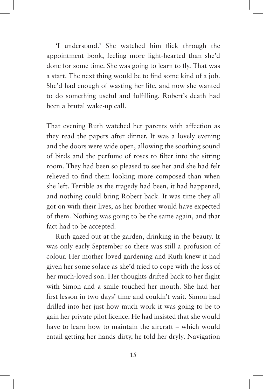'I understand.' She watched him flick through the appointment book, feeling more light-hearted than she'd done for some time. She was going to learn to fly. That was a start. The next thing would be to find some kind of a job. She'd had enough of wasting her life, and now she wanted to do something useful and fulfilling. Robert's death had been a brutal wake-up call.

That evening Ruth watched her parents with affection as they read the papers after dinner. It was a lovely evening and the doors were wide open, allowing the soothing sound of birds and the perfume of roses to filter into the sitting room. They had been so pleased to see her and she had felt relieved to find them looking more composed than when she left. Terrible as the tragedy had been, it had happened, and nothing could bring Robert back. It was time they all got on with their lives, as her brother would have expected of them. Nothing was going to be the same again, and that fact had to be accepted.

Ruth gazed out at the garden, drinking in the beauty. It was only early September so there was still a profusion of colour. Her mother loved gardening and Ruth knew it had given her some solace as she'd tried to cope with the loss of her much-loved son. Her thoughts drifted back to her flight with Simon and a smile touched her mouth. She had her first lesson in two days' time and couldn't wait. Simon had drilled into her just how much work it was going to be to gain her private pilot licence. He had insisted that she would have to learn how to maintain the aircraft – which would entail getting her hands dirty, he told her dryly. Navigation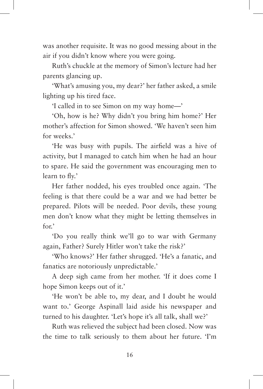was another requisite. It was no good messing about in the air if you didn't know where you were going.

Ruth's chuckle at the memory of Simon's lecture had her parents glancing up.

'What's amusing you, my dear?' her father asked, a smile lighting up his tired face.

'I called in to see Simon on my way home—'

'Oh, how is he? Why didn't you bring him home?' Her mother's affection for Simon showed. 'We haven't seen him for weeks.'

'He was busy with pupils. The airfield was a hive of activity, but I managed to catch him when he had an hour to spare. He said the government was encouraging men to learn to fly.'

Her father nodded, his eyes troubled once again. 'The feeling is that there could be a war and we had better be prepared. Pilots will be needed. Poor devils, these young men don't know what they might be letting themselves in for.'

'Do you really think we'll go to war with Germany again, Father? Surely Hitler won't take the risk?'

'Who knows?' Her father shrugged. 'He's a fanatic, and fanatics are notoriously unpredictable.'

A deep sigh came from her mother. 'If it does come I hope Simon keeps out of it.'

'He won't be able to, my dear, and I doubt he would want to.' George Aspinall laid aside his newspaper and turned to his daughter. 'Let's hope it's all talk, shall we?'

Ruth was relieved the subject had been closed. Now was the time to talk seriously to them about her future. 'I'm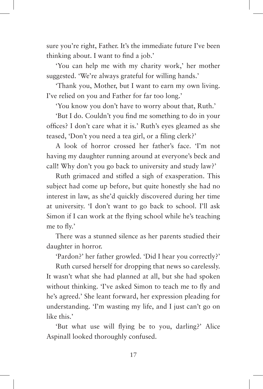sure you're right, Father. It's the immediate future I've been thinking about. I want to find a job.'

'You can help me with my charity work,' her mother suggested. 'We're always grateful for willing hands.'

'Thank you, Mother, but I want to earn my own living. I've relied on you and Father for far too long.'

'You know you don't have to worry about that, Ruth.'

'But I do. Couldn't you find me something to do in your offices? I don't care what it is.' Ruth's eyes gleamed as she teased, 'Don't you need a tea girl, or a filing clerk?'

A look of horror crossed her father's face. 'I'm not having my daughter running around at everyone's beck and call! Why don't you go back to university and study law?'

Ruth grimaced and stifled a sigh of exasperation. This subject had come up before, but quite honestly she had no interest in law, as she'd quickly discovered during her time at university. 'I don't want to go back to school. I'll ask Simon if I can work at the flying school while he's teaching me to fly.'

There was a stunned silence as her parents studied their daughter in horror.

'Pardon?' her father growled. 'Did I hear you correctly?'

Ruth cursed herself for dropping that news so carelessly. It wasn't what she had planned at all, but she had spoken without thinking. 'I've asked Simon to teach me to fly and he's agreed.' She leant forward, her expression pleading for understanding. 'I'm wasting my life, and I just can't go on like this.'

'But what use will flying be to you, darling?' Alice Aspinall looked thoroughly confused.